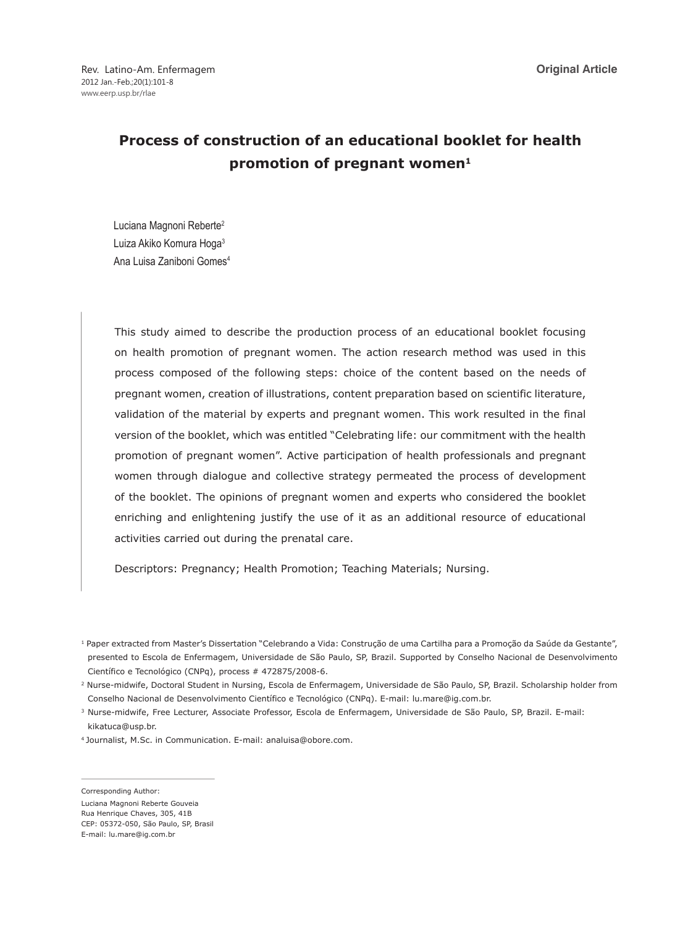# **Process of construction of an educational booklet for health promotion of pregnant women1**

Luciana Magnoni Reberte<sup>2</sup> Luiza Akiko Komura Hoga3 Ana Luisa Zaniboni Gomes<sup>4</sup>

This study aimed to describe the production process of an educational booklet focusing on health promotion of pregnant women. The action research method was used in this process composed of the following steps: choice of the content based on the needs of pregnant women, creation of illustrations, content preparation based on scientific literature, validation of the material by experts and pregnant women. This work resulted in the final version of the booklet, which was entitled "Celebrating life: our commitment with the health promotion of pregnant women". Active participation of health professionals and pregnant women through dialogue and collective strategy permeated the process of development of the booklet. The opinions of pregnant women and experts who considered the booklet enriching and enlightening justify the use of it as an additional resource of educational activities carried out during the prenatal care.

Descriptors: Pregnancy; Health Promotion; Teaching Materials; Nursing.

4 Journalist, M.Sc. in Communication. E-mail: analuisa@obore.com.

Corresponding Author: Luciana Magnoni Reberte Gouveia Rua Henrique Chaves, 305, 41B CEP: 05372-050, São Paulo, SP, Brasil E-mail: lu.mare@ig.com.br

<sup>&</sup>lt;sup>1</sup> Paper extracted from Master's Dissertation "Celebrando a Vida: Construção de uma Cartilha para a Promoção da Saúde da Gestante", presented to Escola de Enfermagem, Universidade de São Paulo, SP, Brazil. Supported by Conselho Nacional de Desenvolvimento Científico e Tecnológico (CNPq), process # 472875/2008-6.

<sup>&</sup>lt;sup>2</sup> Nurse-midwife, Doctoral Student in Nursing, Escola de Enfermagem, Universidade de São Paulo, SP, Brazil. Scholarship holder from Conselho Nacional de Desenvolvimento Científico e Tecnológico (CNPq). E-mail: lu.mare@ig.com.br.

<sup>3</sup> Nurse-midwife, Free Lecturer, Associate Professor, Escola de Enfermagem, Universidade de São Paulo, SP, Brazil. E-mail: kikatuca@usp.br.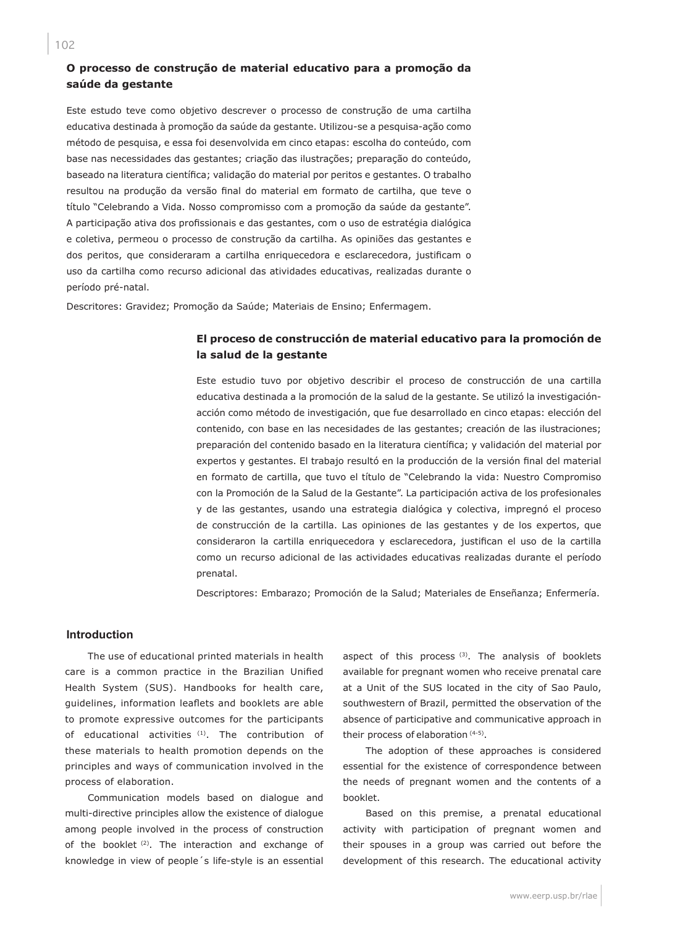# **O processo de construção de material educativo para a promoção da saúde da gestante**

Este estudo teve como objetivo descrever o processo de construção de uma cartilha educativa destinada à promoção da saúde da gestante. Utilizou-se a pesquisa-ação como método de pesquisa, e essa foi desenvolvida em cinco etapas: escolha do conteúdo, com base nas necessidades das gestantes; criação das ilustrações; preparação do conteúdo, baseado na literatura científica; validação do material por peritos e gestantes. O trabalho resultou na produção da versão final do material em formato de cartilha, que teve o título "Celebrando a Vida. Nosso compromisso com a promoção da saúde da gestante". A participação ativa dos profissionais e das gestantes, com o uso de estratégia dialógica e coletiva, permeou o processo de construção da cartilha. As opiniões das gestantes e dos peritos, que consideraram a cartilha enriquecedora e esclarecedora, justificam o uso da cartilha como recurso adicional das atividades educativas, realizadas durante o período pré-natal.

Descritores: Gravidez; Promoção da Saúde; Materiais de Ensino; Enfermagem.

# **El proceso de construcción de material educativo para la promoción de la salud de la gestante**

Este estudio tuvo por objetivo describir el proceso de construcción de una cartilla educativa destinada a la promoción de la salud de la gestante. Se utilizó la investigaciónacción como método de investigación, que fue desarrollado en cinco etapas: elección del contenido, con base en las necesidades de las gestantes; creación de las ilustraciones; preparación del contenido basado en la literatura científica; y validación del material por expertos y gestantes. El trabajo resultó en la producción de la versión final del material en formato de cartilla, que tuvo el título de "Celebrando la vida: Nuestro Compromiso con la Promoción de la Salud de la Gestante". La participación activa de los profesionales y de las gestantes, usando una estrategia dialógica y colectiva, impregnó el proceso de construcción de la cartilla. Las opiniones de las gestantes y de los expertos, que consideraron la cartilla enriquecedora y esclarecedora, justifican el uso de la cartilla como un recurso adicional de las actividades educativas realizadas durante el período prenatal.

Descriptores: Embarazo; Promoción de la Salud; Materiales de Enseñanza; Enfermería.

#### **Introduction**

The use of educational printed materials in health care is a common practice in the Brazilian Unified Health System (SUS). Handbooks for health care, guidelines, information leaflets and booklets are able to promote expressive outcomes for the participants of educational activities (1). The contribution of these materials to health promotion depends on the principles and ways of communication involved in the process of elaboration.

Communication models based on dialogue and multi-directive principles allow the existence of dialogue among people involved in the process of construction of the booklet (2). The interaction and exchange of knowledge in view of people´s life-style is an essential

aspect of this process<sup>(3)</sup>. The analysis of booklets available for pregnant women who receive prenatal care at a Unit of the SUS located in the city of Sao Paulo, southwestern of Brazil, permitted the observation of the absence of participative and communicative approach in their process of elaboration (4-5).

The adoption of these approaches is considered essential for the existence of correspondence between the needs of pregnant women and the contents of a booklet.

Based on this premise, a prenatal educational activity with participation of pregnant women and their spouses in a group was carried out before the development of this research. The educational activity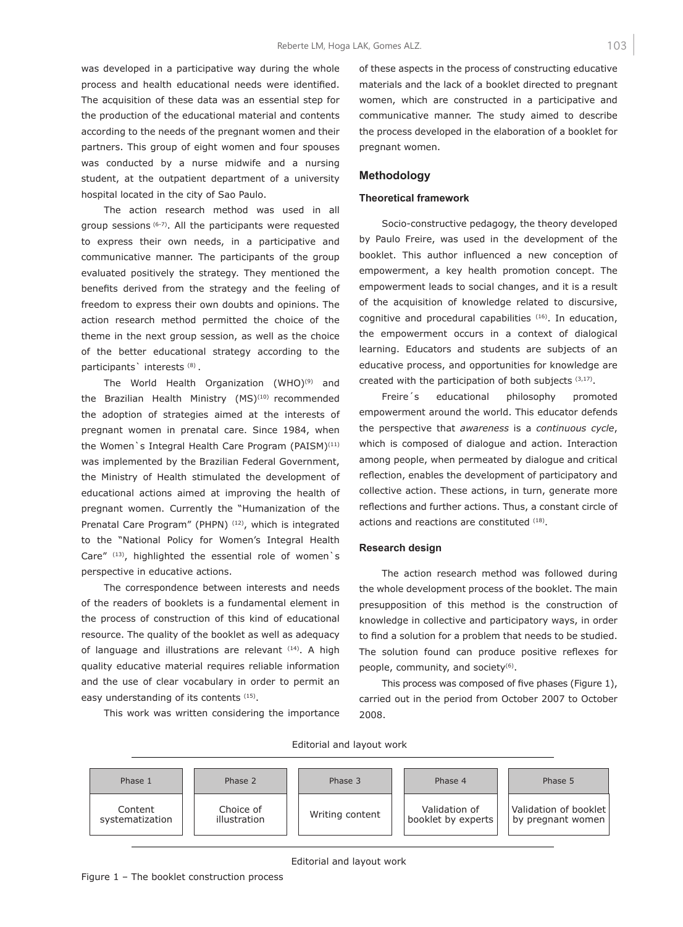was developed in a participative way during the whole process and health educational needs were identified. The acquisition of these data was an essential step for the production of the educational material and contents according to the needs of the pregnant women and their partners. This group of eight women and four spouses was conducted by a nurse midwife and a nursing student, at the outpatient department of a university hospital located in the city of Sao Paulo.

The action research method was used in all group sessions (6-7). All the participants were requested to express their own needs, in a participative and communicative manner. The participants of the group evaluated positively the strategy. They mentioned the benefits derived from the strategy and the feeling of freedom to express their own doubts and opinions. The action research method permitted the choice of the theme in the next group session, as well as the choice of the better educational strategy according to the participants` interests (8) .

The World Health Organization (WHO)(9) and the Brazilian Health Ministry (MS)<sup>(10)</sup> recommended the adoption of strategies aimed at the interests of pregnant women in prenatal care. Since 1984, when the Women's Integral Health Care Program (PAISM)<sup>(11)</sup> was implemented by the Brazilian Federal Government, the Ministry of Health stimulated the development of educational actions aimed at improving the health of pregnant women. Currently the "Humanization of the Prenatal Care Program" (PHPN) (12), which is integrated to the "National Policy for Women's Integral Health Care" (13), highlighted the essential role of women's perspective in educative actions.

The correspondence between interests and needs of the readers of booklets is a fundamental element in the process of construction of this kind of educational resource. The quality of the booklet as well as adequacy of language and illustrations are relevant (14). A high quality educative material requires reliable information and the use of clear vocabulary in order to permit an easy understanding of its contents (15).

This work was written considering the importance

of these aspects in the process of constructing educative materials and the lack of a booklet directed to pregnant women, which are constructed in a participative and communicative manner. The study aimed to describe the process developed in the elaboration of a booklet for pregnant women.

## **Methodology**

# **Theoretical framework**

Socio-constructive pedagogy, the theory developed by Paulo Freire, was used in the development of the booklet. This author influenced a new conception of empowerment, a key health promotion concept. The empowerment leads to social changes, and it is a result of the acquisition of knowledge related to discursive, cognitive and procedural capabilities (16). In education, the empowerment occurs in a context of dialogical learning. Educators and students are subjects of an educative process, and opportunities for knowledge are created with the participation of both subjects (3,17).

Freire´s educational philosophy promoted empowerment around the world. This educator defends the perspective that *awareness* is a *continuous cycle*, which is composed of dialogue and action. Interaction among people, when permeated by dialogue and critical reflection, enables the development of participatory and collective action. These actions, in turn, generate more reflections and further actions. Thus, a constant circle of actions and reactions are constituted <sup>(18)</sup>.

#### **Research design**

The action research method was followed during the whole development process of the booklet. The main presupposition of this method is the construction of knowledge in collective and participatory ways, in order to find a solution for a problem that needs to be studied. The solution found can produce positive reflexes for people, community, and society<sup>(6)</sup>.

This process was composed of five phases (Figure 1), carried out in the period from October 2007 to October 2008.



Editorial and layout work

Editorial and layout work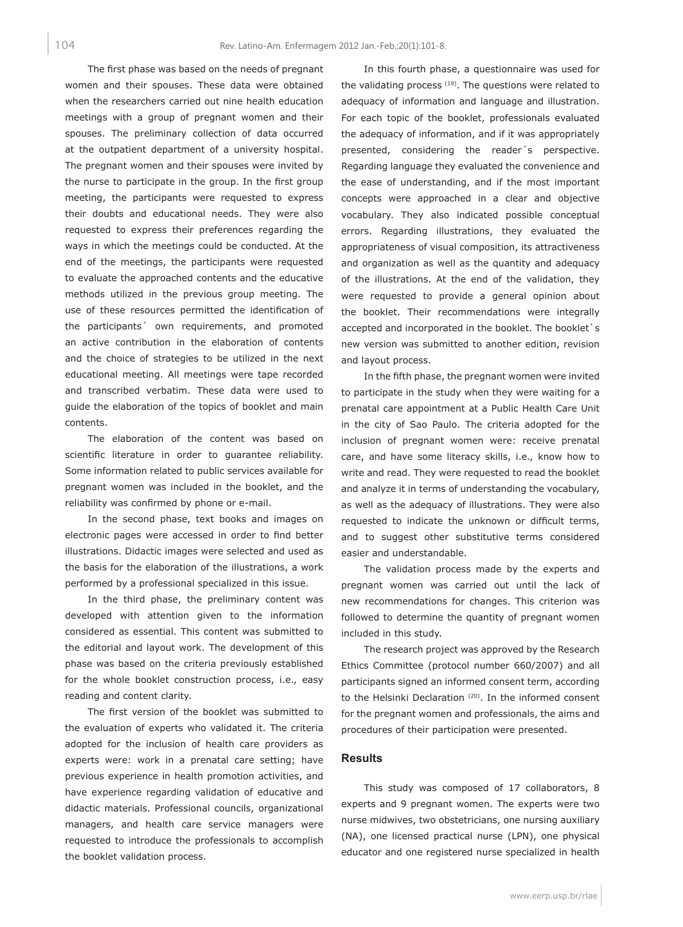The first phase was based on the needs of pregnant women and their spouses. These data were obtained when the researchers carried out nine health education meetings with a group of pregnant women and their spouses. The preliminary collection of data occurred at the outpatient department of a university hospital. The pregnant women and their spouses were invited by the nurse to participate in the group. In the first group meeting, the participants were requested to express their doubts and educational needs. They were also requested to express their preferences regarding the ways in which the meetings could be conducted. At the end of the meetings, the participants were requested to evaluate the approached contents and the educative methods utilized in the previous group meeting. The use of these resources permitted the identification of the participants´ own requirements, and promoted an active contribution in the elaboration of contents and the choice of strategies to be utilized in the next educational meeting. All meetings were tape recorded and transcribed verbatim. These data were used to guide the elaboration of the topics of booklet and main contents.

The elaboration of the content was based on scientific literature in order to guarantee reliability. Some information related to public services available for pregnant women was included in the booklet, and the reliability was confirmed by phone or e-mail.

In the second phase, text books and images on electronic pages were accessed in order to find better illustrations. Didactic images were selected and used as the basis for the elaboration of the illustrations, a work performed by a professional specialized in this issue.

In the third phase, the preliminary content was developed with attention given to the information considered as essential. This content was submitted to the editorial and layout work. The development of this phase was based on the criteria previously established for the whole booklet construction process, i.e., easy reading and content clarity.

The first version of the booklet was submitted to the evaluation of experts who validated it. The criteria adopted for the inclusion of health care providers as experts were: work in a prenatal care setting; have previous experience in health promotion activities, and have experience regarding validation of educative and didactic materials. Professional councils, organizational managers, and health care service managers were requested to introduce the professionals to accomplish the booklet validation process.

In this fourth phase, a questionnaire was used for the validating process<sup>(19)</sup>. The questions were related to adequacy of information and language and illustration. For each topic of the booklet, professionals evaluated the adequacy of information, and if it was appropriately presented, considering the reader´s perspective. Regarding language they evaluated the convenience and the ease of understanding, and if the most important concepts were approached in a clear and objective vocabulary. They also indicated possible conceptual errors. Regarding illustrations, they evaluated the appropriateness of visual composition, its attractiveness and organization as well as the quantity and adequacy of the illustrations. At the end of the validation, they were requested to provide a general opinion about the booklet. Their recommendations were integrally accepted and incorporated in the booklet. The booklet`s new version was submitted to another edition, revision and layout process.

In the fifth phase, the pregnant women were invited to participate in the study when they were waiting for a prenatal care appointment at a Public Health Care Unit in the city of Sao Paulo. The criteria adopted for the inclusion of pregnant women were: receive prenatal care, and have some literacy skills, i.e., know how to write and read. They were requested to read the booklet and analyze it in terms of understanding the vocabulary, as well as the adequacy of illustrations. They were also requested to indicate the unknown or difficult terms, and to suggest other substitutive terms considered easier and understandable.

The validation process made by the experts and pregnant women was carried out until the lack of new recommendations for changes. This criterion was followed to determine the quantity of pregnant women included in this study.

The research project was approved by the Research Ethics Committee (protocol number 660/2007) and all participants signed an informed consent term, according to the Helsinki Declaration<sup>(20)</sup>. In the informed consent for the pregnant women and professionals, the aims and procedures of their participation were presented.

## **Results**

This study was composed of 17 collaborators, 8 experts and 9 pregnant women. The experts were two nurse midwives, two obstetricians, one nursing auxiliary (NA), one licensed practical nurse (LPN), one physical educator and one registered nurse specialized in health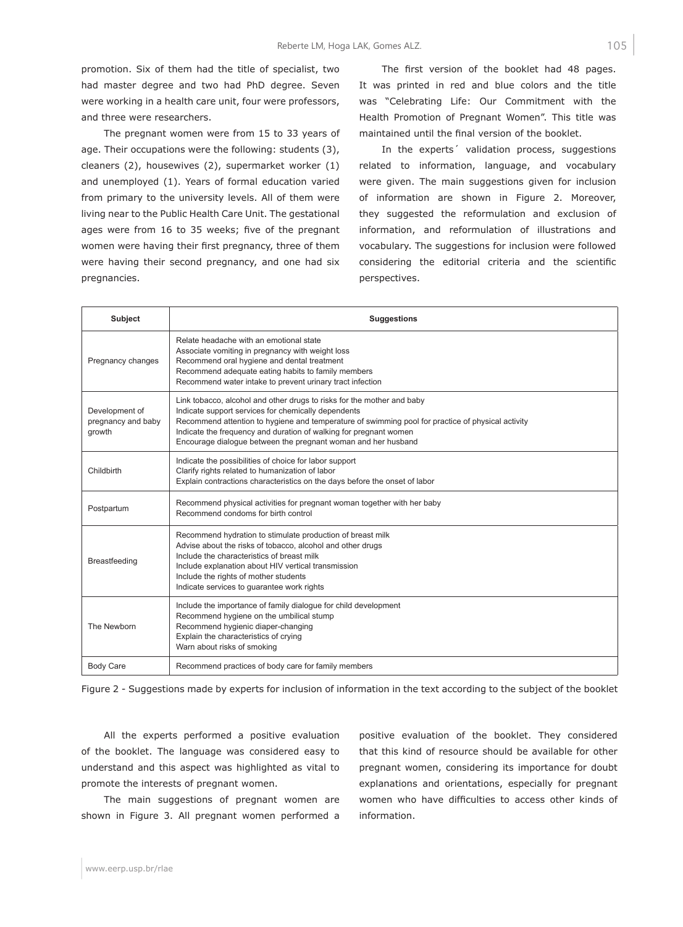promotion. Six of them had the title of specialist, two had master degree and two had PhD degree. Seven were working in a health care unit, four were professors, and three were researchers.

The pregnant women were from 15 to 33 years of age. Their occupations were the following: students (3), cleaners (2), housewives (2), supermarket worker (1) and unemployed (1). Years of formal education varied from primary to the university levels. All of them were living near to the Public Health Care Unit. The gestational ages were from 16 to 35 weeks; five of the pregnant women were having their first pregnancy, three of them were having their second pregnancy, and one had six pregnancies.

The first version of the booklet had 48 pages. It was printed in red and blue colors and the title was "Celebrating Life: Our Commitment with the Health Promotion of Pregnant Women". This title was maintained until the final version of the booklet.

In the experts´ validation process, suggestions related to information, language, and vocabulary were given. The main suggestions given for inclusion of information are shown in Figure 2. Moreover, they suggested the reformulation and exclusion of information, and reformulation of illustrations and vocabulary. The suggestions for inclusion were followed considering the editorial criteria and the scientific perspectives.

| Subject                                        | <b>Suggestions</b>                                                                                                                                                                                                                                                                                                                                                       |
|------------------------------------------------|--------------------------------------------------------------------------------------------------------------------------------------------------------------------------------------------------------------------------------------------------------------------------------------------------------------------------------------------------------------------------|
| Pregnancy changes                              | Relate headache with an emotional state<br>Associate vomiting in pregnancy with weight loss<br>Recommend oral hygiene and dental treatment<br>Recommend adequate eating habits to family members<br>Recommend water intake to prevent urinary tract infection                                                                                                            |
| Development of<br>pregnancy and baby<br>growth | Link tobacco, alcohol and other drugs to risks for the mother and baby<br>Indicate support services for chemically dependents<br>Recommend attention to hygiene and temperature of swimming pool for practice of physical activity<br>Indicate the frequency and duration of walking for pregnant women<br>Encourage dialogue between the pregnant woman and her husband |
| Childbirth                                     | Indicate the possibilities of choice for labor support<br>Clarify rights related to humanization of labor<br>Explain contractions characteristics on the days before the onset of labor                                                                                                                                                                                  |
| Postpartum                                     | Recommend physical activities for pregnant woman together with her baby<br>Recommend condoms for birth control                                                                                                                                                                                                                                                           |
| Breastfeeding                                  | Recommend hydration to stimulate production of breast milk<br>Advise about the risks of tobacco, alcohol and other drugs<br>Include the characteristics of breast milk<br>Include explanation about HIV vertical transmission<br>Include the rights of mother students<br>Indicate services to guarantee work rights                                                     |
| The Newborn                                    | Include the importance of family dialogue for child development<br>Recommend hygiene on the umbilical stump<br>Recommend hygienic diaper-changing<br>Explain the characteristics of crying<br>Warn about risks of smoking                                                                                                                                                |
| <b>Body Care</b>                               | Recommend practices of body care for family members                                                                                                                                                                                                                                                                                                                      |

Figure 2 - Suggestions made by experts for inclusion of information in the text according to the subject of the booklet

All the experts performed a positive evaluation of the booklet. The language was considered easy to understand and this aspect was highlighted as vital to promote the interests of pregnant women.

The main suggestions of pregnant women are shown in Figure 3. All pregnant women performed a

positive evaluation of the booklet. They considered that this kind of resource should be available for other pregnant women, considering its importance for doubt explanations and orientations, especially for pregnant women who have difficulties to access other kinds of information.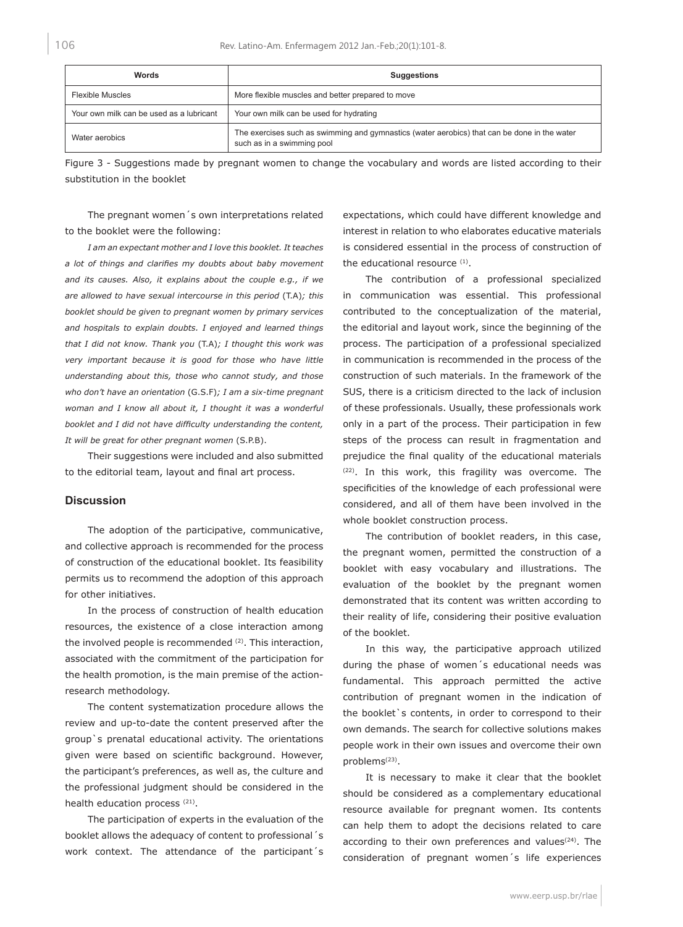| Words                                    | <b>Suggestions</b>                                                                                                         |
|------------------------------------------|----------------------------------------------------------------------------------------------------------------------------|
| <b>Flexible Muscles</b>                  | More flexible muscles and better prepared to move                                                                          |
| Your own milk can be used as a lubricant | Your own milk can be used for hydrating                                                                                    |
| Water aerobics                           | The exercises such as swimming and gymnastics (water aerobics) that can be done in the water<br>such as in a swimming pool |

Figure 3 - Suggestions made by pregnant women to change the vocabulary and words are listed according to their substitution in the booklet

The pregnant women´s own interpretations related to the booklet were the following:

*I am an expectant mother and I love this booklet. It teaches a lot of things and clarifies my doubts about baby movement and its causes. Also, it explains about the couple e.g., if we are allowed to have sexual intercourse in this period* (T.A)*; this booklet should be given to pregnant women by primary services and hospitals to explain doubts. I enjoyed and learned things that I did not know. Thank you* (T.A)*; I thought this work was very important because it is good for those who have little understanding about this, those who cannot study, and those who don't have an orientation* (G.S.F)*; I am a six-time pregnant woman and I know all about it, I thought it was a wonderful booklet and I did not have difficulty understanding the content, It will be great for other pregnant women* (S.P.B).

Their suggestions were included and also submitted to the editorial team, layout and final art process.

# **Discussion**

The adoption of the participative, communicative, and collective approach is recommended for the process of construction of the educational booklet. Its feasibility permits us to recommend the adoption of this approach for other initiatives.

In the process of construction of health education resources, the existence of a close interaction among the involved people is recommended (2). This interaction, associated with the commitment of the participation for the health promotion, is the main premise of the actionresearch methodology.

The content systematization procedure allows the review and up-to-date the content preserved after the group`s prenatal educational activity. The orientations given were based on scientific background. However, the participant's preferences, as well as, the culture and the professional judgment should be considered in the health education process (21).

The participation of experts in the evaluation of the booklet allows the adequacy of content to professional´s work context. The attendance of the participant´s

expectations, which could have different knowledge and interest in relation to who elaborates educative materials is considered essential in the process of construction of the educational resource (1).

The contribution of a professional specialized in communication was essential. This professional contributed to the conceptualization of the material, the editorial and layout work, since the beginning of the process. The participation of a professional specialized in communication is recommended in the process of the construction of such materials. In the framework of the SUS, there is a criticism directed to the lack of inclusion of these professionals. Usually, these professionals work only in a part of the process. Their participation in few steps of the process can result in fragmentation and prejudice the final quality of the educational materials (22). In this work, this fragility was overcome. The specificities of the knowledge of each professional were considered, and all of them have been involved in the whole booklet construction process.

The contribution of booklet readers, in this case, the pregnant women, permitted the construction of a booklet with easy vocabulary and illustrations. The evaluation of the booklet by the pregnant women demonstrated that its content was written according to their reality of life, considering their positive evaluation of the booklet.

In this way, the participative approach utilized during the phase of women´s educational needs was fundamental. This approach permitted the active contribution of pregnant women in the indication of the booklet`s contents, in order to correspond to their own demands. The search for collective solutions makes people work in their own issues and overcome their own problems(23).

It is necessary to make it clear that the booklet should be considered as a complementary educational resource available for pregnant women. Its contents can help them to adopt the decisions related to care according to their own preferences and values<sup>(24)</sup>. The consideration of pregnant women´s life experiences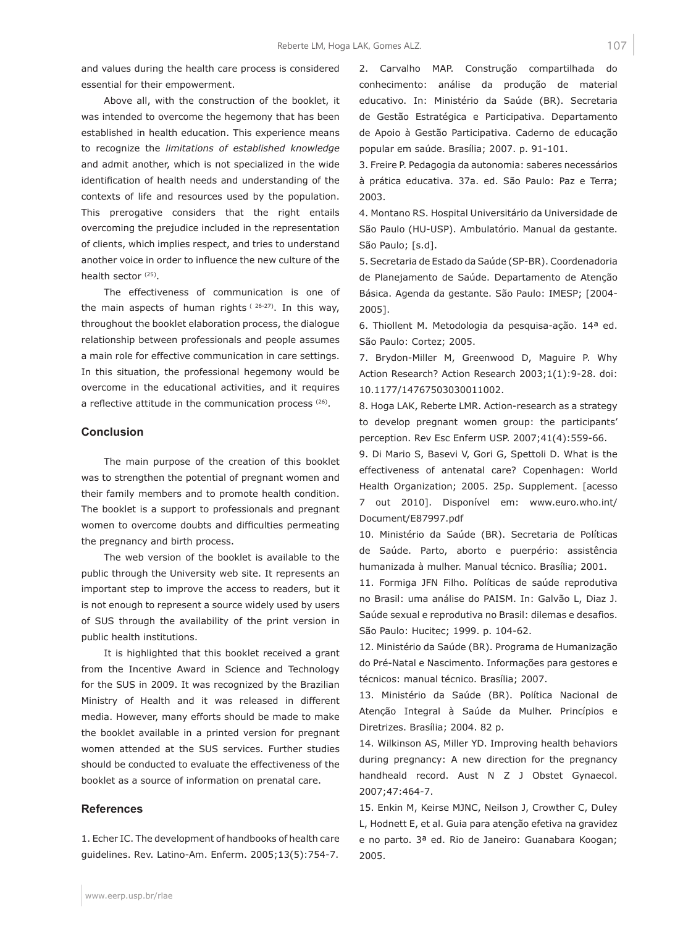and values during the health care process is considered essential for their empowerment.

Above all, with the construction of the booklet, it was intended to overcome the hegemony that has been established in health education. This experience means to recognize the *limitations of established knowledge* and admit another, which is not specialized in the wide identification of health needs and understanding of the contexts of life and resources used by the population. This prerogative considers that the right entails overcoming the prejudice included in the representation of clients, which implies respect, and tries to understand another voice in order to influence the new culture of the health sector (25).

The effectiveness of communication is one of the main aspects of human rights  $(26-27)$ . In this way, throughout the booklet elaboration process, the dialogue relationship between professionals and people assumes a main role for effective communication in care settings. In this situation, the professional hegemony would be overcome in the educational activities, and it requires a reflective attitude in the communication process (26).

## **Conclusion**

The main purpose of the creation of this booklet was to strengthen the potential of pregnant women and their family members and to promote health condition. The booklet is a support to professionals and pregnant women to overcome doubts and difficulties permeating the pregnancy and birth process.

The web version of the booklet is available to the public through the University web site. It represents an important step to improve the access to readers, but it is not enough to represent a source widely used by users of SUS through the availability of the print version in public health institutions.

It is highlighted that this booklet received a grant from the Incentive Award in Science and Technology for the SUS in 2009. It was recognized by the Brazilian Ministry of Health and it was released in different media. However, many efforts should be made to make the booklet available in a printed version for pregnant women attended at the SUS services. Further studies should be conducted to evaluate the effectiveness of the booklet as a source of information on prenatal care.

#### **References**

1. Echer IC. The development of handbooks of health care guidelines. Rev. Latino-Am. Enferm. 2005;13(5):754-7.

2. Carvalho MAP. Construção compartilhada do conhecimento: análise da produção de material educativo. In: Ministério da Saúde (BR). Secretaria de Gestão Estratégica e Participativa. Departamento de Apoio à Gestão Participativa. Caderno de educação popular em saúde. Brasília; 2007. p. 91-101.

3. Freire P. Pedagogia da autonomia: saberes necessários à prática educativa. 37a. ed. São Paulo: Paz e Terra; 2003.

4. Montano RS. Hospital Universitário da Universidade de São Paulo (HU-USP). Ambulatório. Manual da gestante. São Paulo; [s.d].

5. Secretaria de Estado da Saúde (SP-BR). Coordenadoria de Planejamento de Saúde. Departamento de Atenção Básica. Agenda da gestante. São Paulo: IMESP; [2004- 2005].

6. Thiollent M. Metodologia da pesquisa-ação. 14ª ed. São Paulo: Cortez; 2005.

7. Brydon-Miller M, Greenwood D, Maguire P. Why Action Research? Action Research 2003;1(1):9-28. doi: 10.1177/14767503030011002.

8. Hoga LAK, Reberte LMR. Action-research as a strategy to develop pregnant women group: the participants' perception. Rev Esc Enferm USP. 2007;41(4):559-66.

9. Di Mario S, Basevi V, Gori G, Spettoli D. What is the effectiveness of antenatal care? Copenhagen: World Health Organization; 2005. 25p. Supplement. [acesso 7 out 2010]. Disponível em: www.euro.who.int/ Document/E87997.pdf

10. Ministério da Saúde (BR). Secretaria de Políticas de Saúde. Parto, aborto e puerpério: assistência humanizada à mulher. Manual técnico. Brasília; 2001.

11. Formiga JFN Filho. Políticas de saúde reprodutiva no Brasil: uma análise do PAISM. In: Galvão L, Diaz J. Saúde sexual e reprodutiva no Brasil: dilemas e desafios. São Paulo: Hucitec; 1999. p. 104-62.

12. Ministério da Saúde (BR). Programa de Humanização do Pré-Natal e Nascimento. Informações para gestores e técnicos: manual técnico. Brasília; 2007.

13. Ministério da Saúde (BR). Política Nacional de Atenção Integral à Saúde da Mulher. Princípios e Diretrizes. Brasília; 2004. 82 p.

14. Wilkinson AS, Miller YD. Improving health behaviors during pregnancy: A new direction for the pregnancy handheald record. Aust N Z J Obstet Gynaecol. 2007;47:464-7.

15. Enkin M, Keirse MJNC, Neilson J, Crowther C, Duley L, Hodnett E, et al. Guia para atenção efetiva na gravidez e no parto. 3ª ed. Rio de Janeiro: Guanabara Koogan; 2005.